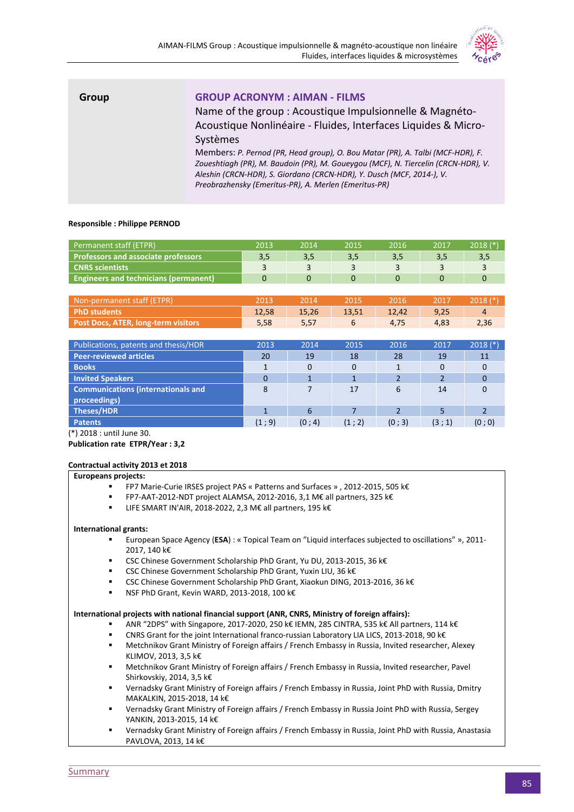

| Group | <b>GROUP ACRONYM : AIMAN - FILMS</b><br>Name of the group : Acoustique Impulsionnelle & Magnéto-<br>Acoustique Nonlinéaire - Fluides, Interfaces Liquides & Micro-<br>Systèmes<br>Members: P. Pernod (PR, Head group), O. Bou Matar (PR), A. Talbi (MCF-HDR), F.<br>Zoueshtiagh (PR), M. Baudoin (PR), M. Goueygou (MCF), N. Tiercelin (CRCN-HDR), V.<br>Aleshin (CRCN-HDR), S. Giordano (CRCN-HDR), Y. Dusch (MCF, 2014-), V.<br>Preobrazhensky (Emeritus-PR), A. Merlen (Emeritus-PR) |
|-------|-----------------------------------------------------------------------------------------------------------------------------------------------------------------------------------------------------------------------------------------------------------------------------------------------------------------------------------------------------------------------------------------------------------------------------------------------------------------------------------------|
|       |                                                                                                                                                                                                                                                                                                                                                                                                                                                                                         |

### **Responsible : Philippe PERNOD**

| Permanent staff (ETPR)                       | 2013 | 2014 | 2015 | 2016 | 2017 | $2018$ $(*)$ |
|----------------------------------------------|------|------|------|------|------|--------------|
| <b>Professors and associate professors</b>   | 3,5  | 3.5  | 3,5  |      | 3,5  |              |
| <b>CNRS</b> scientists                       |      |      |      |      |      |              |
| <b>Engineers and technicians (permanent)</b> |      |      |      |      |      |              |

| Non-permanent staff (ETPR)          | 2013  | 2014. | 2015  | <b>2016</b> | 2017 | $\; 2018$ (*) |
|-------------------------------------|-------|-------|-------|-------------|------|---------------|
| PhD students                        | 12,58 | 15,26 | 13.51 | 12.42       | 9,25 |               |
| Post Docs, ATER, long-term visitors | 5.58  | 5.57  |       | 4.75        | 4.83 | 2,36          |

| Publications, patents and thesis/HDR      | 2013     | 2014     | 2015  | 2016   | 2017     | $2018$ (*) |
|-------------------------------------------|----------|----------|-------|--------|----------|------------|
| <b>Peer-reviewed articles</b>             | 20       | 19       | 18    | 28     | 19       | 11         |
| <b>Books</b>                              |          | $\Omega$ |       |        | $\Omega$ |            |
| <b>Invited Speakers</b>                   | $\Omega$ |          |       | 2      |          |            |
| <b>Communications (internationals and</b> | 8        |          | 17    | 6      | 14       |            |
| proceedings)                              |          |          |       |        |          |            |
| Theses/HDR                                |          | 6        |       |        |          |            |
| <b>Patents</b>                            | (1:9)    | (0; 4)   | (1:2) | (0; 3) | (3; 1)   | (0; 0)     |

(\*) 2018 : until June 30.

**Publication rate ETPR/Year : 3,2**

#### **Contractual activity 2013 et 2018**

#### **Europeans projects:**

- FP7 Marie-Curie IRSES project PAS « Patterns and Surfaces » , 2012-2015, 505 k€
- FP7-AAT-2012-NDT project ALAMSA, 2012-2016, 3,1 M€ all partners, 325 k€
- LIFE SMART IN'AIR, 2018-2022, 2,3 M€ all partners, 195 k€

#### **International grants:**

- European Space Agency (**ESA**) : « Topical Team on "Liquid interfaces subjected to oscillations" », 2011- 2017, 140 k€
- CSC Chinese Government Scholarship PhD Grant, Yu DU, 2013-2015, 36 k€
- CSC Chinese Government Scholarship PhD Grant, Yuxin LIU, 36 k€
- CSC Chinese Government Scholarship PhD Grant, Xiaokun DING, 2013-2016, 36 k€
- NSF PhD Grant, Kevin WARD, 2013-2018, 100 k€

#### **International projects with national financial support (ANR, CNRS, Ministry of foreign affairs):**

- ANR "2DPS" with Singapore, 2017-2020, 250 k€ IEMN, 285 CINTRA, 535 k€ All partners, 114 k€
- CNRS Grant for the joint International franco-russian Laboratory LIA LICS, 2013-2018, 90 k€
- Metchnikov Grant Ministry of Foreign affairs / French Embassy in Russia, Invited researcher, Alexey KLIMOV, 2013, 3,5 k€
- Metchnikov Grant Ministry of Foreign affairs / French Embassy in Russia, Invited researcher, Pavel Shirkovskiy, 2014, 3,5 k€
- Vernadsky Grant Ministry of Foreign affairs / French Embassy in Russia, Joint PhD with Russia, Dmitry MAKALKIN, 2015-2018, 14 k€
- Vernadsky Grant Ministry of Foreign affairs / French Embassy in Russia Joint PhD with Russia, Sergey YANKIN, 2013-2015, 14 k€
- Vernadsky Grant Ministry of Foreign affairs / French Embassy in Russia, Joint PhD with Russia, Anastasia PAVLOVA, 2013, 14 k€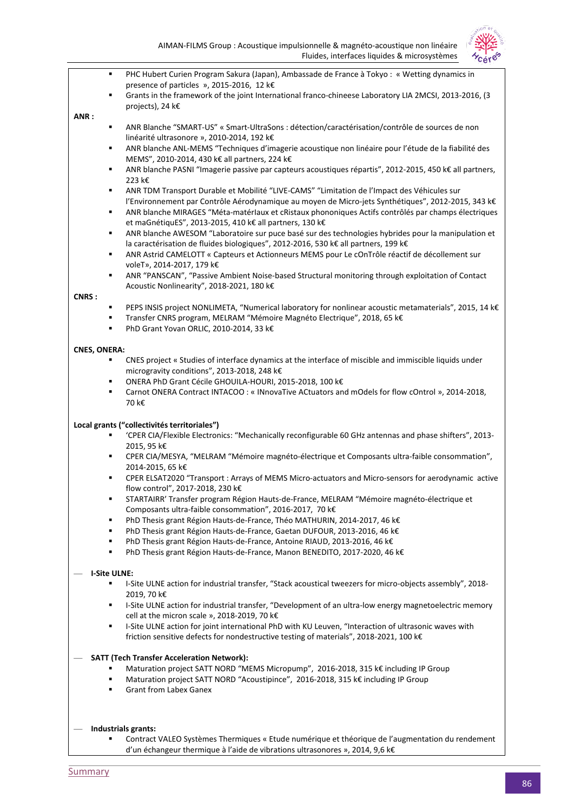|                     | Products, internates inquiries & initiosystemes<br><i>Cére</i>                                                                                                 |
|---------------------|----------------------------------------------------------------------------------------------------------------------------------------------------------------|
|                     | PHC Hubert Curien Program Sakura (Japan), Ambassade de France à Tokyo : « Wetting dynamics in<br>٠                                                             |
|                     | presence of particles », 2015-2016, 12 k€                                                                                                                      |
|                     | Grants in the framework of the joint International franco-chineese Laboratory LIA 2MCSI, 2013-2016, (3<br>٠                                                    |
|                     | projects), 24 k€                                                                                                                                               |
| ANR:                |                                                                                                                                                                |
|                     | ANR Blanche "SMART-US" « Smart-UltraSons : détection/caractérisation/contrôle de sources de non<br>٠<br>linéarité ultrasonore », 2010-2014, 192 k€             |
|                     | ANR blanche ANL-MEMS "Techniques d'imagerie acoustique non linéaire pour l'étude de la fiabilité des<br>٠                                                      |
|                     | MEMS", 2010-2014, 430 k€ all partners, 224 k€                                                                                                                  |
|                     | ANR blanche PASNI "Imagerie passive par capteurs acoustiques répartis", 2012-2015, 450 k€ all partners,<br>٠                                                   |
|                     | 223 k€                                                                                                                                                         |
|                     | ANR TDM Transport Durable et Mobilité "LIVE-CAMS" "Limitation de l'Impact des Véhicules sur<br>٠                                                               |
|                     | l'Environnement par Contrôle Aérodynamique au moyen de Micro-jets Synthétiques", 2012-2015, 343 k€<br>٠                                                        |
|                     | ANR blanche MIRAGES "Méta-matériaux et cRistaux phononiques Actifs contrôlés par champs électriques<br>et maGnétiquES", 2013-2015, 410 k€ all partners, 130 k€ |
|                     | ANR blanche AWESOM "Laboratoire sur puce basé sur des technologies hybrides pour la manipulation et<br>٠                                                       |
|                     | la caractérisation de fluides biologiques", 2012-2016, 530 k€ all partners, 199 k€                                                                             |
|                     | ANR Astrid CAMELOTT « Capteurs et Actionneurs MEMS pour Le cOnTrôle réactif de décollement sur<br>٠                                                            |
|                     | voleT», 2014-2017, 179 k€                                                                                                                                      |
|                     | ANR "PANSCAN", "Passive Ambient Noise-based Structural monitoring through exploitation of Contact<br>٠                                                         |
|                     | Acoustic Nonlinearity", 2018-2021, 180 k€                                                                                                                      |
| CNRS:               | PEPS INSIS project NONLIMETA, "Numerical laboratory for nonlinear acoustic metamaterials", 2015, 14 k€<br>٠                                                    |
|                     | Transfer CNRS program, MELRAM "Mémoire Magnéto Electrique", 2018, 65 k€<br>٠                                                                                   |
|                     | PhD Grant Yovan ORLIC, 2010-2014, 33 k€<br>٠                                                                                                                   |
|                     |                                                                                                                                                                |
| <b>CNES, ONERA:</b> |                                                                                                                                                                |
|                     | CNES project « Studies of interface dynamics at the interface of miscible and immiscible liquids under<br>٠                                                    |
|                     | microgravity conditions", 2013-2018, 248 k€<br>ONERA PhD Grant Cécile GHOUILA-HOURI, 2015-2018, 100 k€<br>٠                                                    |
|                     | Carnot ONERA Contract INTACOO : « INnovaTive ACtuators and mOdels for flow cOntrol », 2014-2018,<br>٠                                                          |
|                     | 70 k€                                                                                                                                                          |
|                     |                                                                                                                                                                |
|                     | Local grants ("collectivités territoriales")                                                                                                                   |
|                     | 'CPER CIA/Flexible Electronics: "Mechanically reconfigurable 60 GHz antennas and phase shifters", 2013-<br>٠                                                   |
|                     | 2015, 95 k€<br>CPER CIA/MESYA, "MELRAM "Mémoire magnéto-électrique et Composants ultra-faible consommation",<br>٠                                              |
|                     | 2014-2015, 65 k€                                                                                                                                               |
|                     | CPER ELSAT2020 "Transport : Arrays of MEMS Micro-actuators and Micro-sensors for aerodynamic active<br>٠                                                       |
|                     | flow control", 2017-2018, 230 k€                                                                                                                               |
|                     | STARTAIRR' Transfer program Région Hauts-de-France, MELRAM "Mémoire magnéto-électrique et<br>٠                                                                 |
|                     | Composants ultra-faible consommation", 2016-2017, 70 k€                                                                                                        |
|                     | PhD Thesis grant Région Hauts-de-France, Théo MATHURIN, 2014-2017, 46 k€<br>٠<br>٠                                                                             |
|                     | PhD Thesis grant Région Hauts-de-France, Gaetan DUFOUR, 2013-2016, 46 k€<br>PhD Thesis grant Région Hauts-de-France, Antoine RIAUD, 2013-2016, 46 k€<br>٠      |
|                     | PhD Thesis grant Région Hauts-de-France, Manon BENEDITO, 2017-2020, 46 k€<br>٠                                                                                 |
|                     |                                                                                                                                                                |
|                     | <b>I-Site ULNE:</b>                                                                                                                                            |
|                     | I-Site ULNE action for industrial transfer, "Stack acoustical tweezers for micro-objects assembly", 2018-<br>٠                                                 |
|                     | 2019, 70 k€                                                                                                                                                    |
|                     | I-Site ULNE action for industrial transfer, "Development of an ultra-low energy magnetoelectric memory<br>٠<br>cell at the micron scale », 2018-2019, 70 k€    |
|                     | I-Site ULNE action for joint international PhD with KU Leuven, "Interaction of ultrasonic waves with<br>٠                                                      |
|                     | friction sensitive defects for nondestructive testing of materials", 2018-2021, 100 k€                                                                         |
|                     |                                                                                                                                                                |
|                     | <b>SATT (Tech Transfer Acceleration Network):</b>                                                                                                              |
|                     | Maturation project SATT NORD "MEMS Micropump", 2016-2018, 315 k€ including IP Group                                                                            |
|                     | Maturation project SATT NORD "Acoustipince", 2016-2018, 315 k€ including IP Group<br>٠<br><b>Grant from Labex Ganex</b><br>٠                                   |
|                     |                                                                                                                                                                |
|                     |                                                                                                                                                                |
|                     |                                                                                                                                                                |
|                     | Industrials grants:                                                                                                                                            |

Contract VALEO Systèmes Thermiques « Etude numérique et théorique de l'augmentation du rendement

**Summary**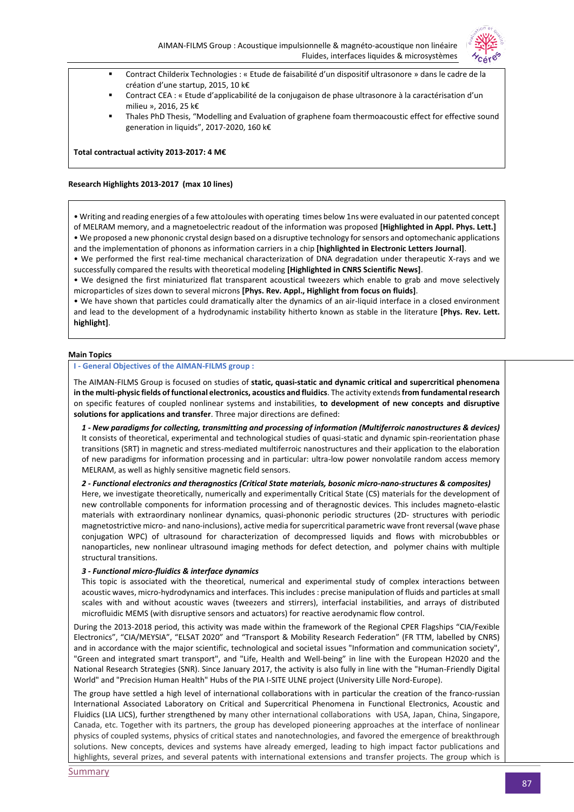

- Contract Childerix Technologies : « Etude de faisabilité d'un dispositif ultrasonore » dans le cadre de la création d'une startup, 2015, 10 k€
- Contract CEA : « Etude d'applicabilité de la conjugaison de phase ultrasonore à la caractérisation d'un milieu », 2016, 25 k€
- Thales PhD Thesis, "Modelling and Evaluation of graphene foam thermoacoustic effect for effective sound generation in liquids", 2017-2020, 160 k€

**Total contractual activity 2013-2017: 4 M€**

#### **Research Highlights 2013-2017 (max 10 lines)**

• Writing and reading energies of a few attoJoules with operating times below 1ns were evaluated in our patented concept of MELRAM memory, and a magnetoelectric readout of the information was proposed **[Highlighted in Appl. Phys. Lett.]** • We proposed a new phononic crystal design based on a disruptive technology for sensors and optomechanic applications and the implementation of phonons as information carriers in a chip **[highlighted in Electronic Letters Journal]**.

• We performed the first real-time mechanical characterization of DNA degradation under therapeutic X-rays and we successfully compared the results with theoretical modeling **[Highlighted in CNRS Scientific News]**.

• We designed the first miniaturized flat transparent acoustical tweezers which enable to grab and move selectively microparticles of sizes down to several microns **[Phys. Rev. Appl., Highlight from focus on fluids]**.

• We have shown that particles could dramatically alter the dynamics of an air-liquid interface in a closed environment and lead to the development of a hydrodynamic instability hitherto known as stable in the literature **[Phys. Rev. Lett. highlight]**.

#### **Main Topics**

#### **I - General Objectives of the AIMAN-FILMS group :**

The AIMAN-FILMS Group is focused on studies of **static, quasi-static and dynamic critical and supercritical phenomena in the multi-physic fields of functional electronics, acoustics and fluidics**. The activity extends **from fundamental research** on specific features of coupled nonlinear systems and instabilities, **to development of new concepts and disruptive solutions for applications and transfer**. Three major directions are defined:

*1 - New paradigms for collecting, transmitting and processing of information (Multiferroic nanostructures & devices)* It consists of theoretical, experimental and technological studies of quasi-static and dynamic spin-reorientation phase transitions (SRT) in magnetic and stress-mediated multiferroic nanostructures and their application to the elaboration of new paradigms for information processing and in particular: ultra-low power nonvolatile random access memory MELRAM, as well as highly sensitive magnetic field sensors.

*2 - Functional electronics and theragnostics (Critical State materials, bosonic micro-nano-structures & composites)* 

Here, we investigate theoretically, numerically and experimentally Critical State (CS) materials for the development of new controllable components for information processing and of theragnostic devices. This includes magneto-elastic materials with extraordinary nonlinear dynamics, quasi-phononic periodic structures (2D- structures with periodic magnetostrictive micro- and nano-inclusions), active media for supercritical parametric wave front reversal (wave phase conjugation WPC) of ultrasound for characterization of decompressed liquids and flows with microbubbles or nanoparticles, new nonlinear ultrasound imaging methods for defect detection, and polymer chains with multiple structural transitions.

#### *3 - Functional micro-fluidics & interface dynamics*

This topic is associated with the theoretical, numerical and experimental study of complex interactions between acoustic waves, micro-hydrodynamics and interfaces. This includes : precise manipulation of fluids and particles at small scales with and without acoustic waves (tweezers and stirrers), interfacial instabilities, and arrays of distributed microfluidic MEMS (with disruptive sensors and actuators) for reactive aerodynamic flow control.

During the 2013-2018 period, this activity was made within the framework of the Regional CPER Flagships "CIA/Fexible Electronics", "CIA/MEYSIA", "ELSAT 2020" and "Transport & Mobility Research Federation" (FR TTM, labelled by CNRS) and in accordance with the major scientific, technological and societal issues "Information and communication society", "Green and integrated smart transport", and "Life, Health and Well-being" in line with the European H2020 and the National Research Strategies (SNR). Since January 2017, the activity is also fully in line with the "Human-Friendly Digital World" and "Precision Human Health" Hubs of the PIA I-SITE ULNE project (University Lille Nord-Europe).

The group have settled a high level of international collaborations with in particular the creation of the franco-russian International Associated Laboratory on Critical and Supercritical Phenomena in Functional Electronics, Acoustic and Fluidics (LIA LICS), further strengthened by many other international collaborations with USA, Japan, China, Singapore, Canada, etc. Together with its partners, the group has developed pioneering approaches at the interface of nonlinear physics of coupled systems, physics of critical states and nanotechnologies, and favored the emergence of breakthrough solutions. New concepts, devices and systems have already emerged, leading to high impact factor publications and highlights, several prizes, and several patents with international extensions and transfer projects. The group which is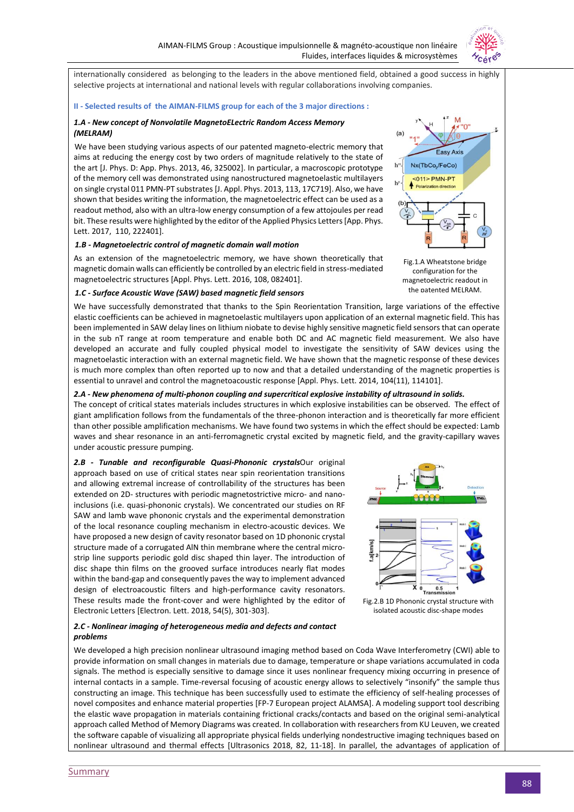

internationally considered as belonging to the leaders in the above mentioned field, obtained a good success in highly selective projects at international and national levels with regular collaborations involving companies.

#### **II - Selected results of the AIMAN-FILMS group for each of the 3 major directions :**

#### *1.A - New concept of Nonvolatile MagnetoELectric Random Access Memory (MELRAM)*

We have been studying various aspects of our patented magneto-electric memory that aims at reducing the energy cost by two orders of magnitude relatively to the state of the art [J. Phys. D: App. Phys. 2013, 46, 325002]. In particular, a macroscopic prototype of the memory cell was demonstrated using nanostructured magnetoelastic multilayers on single crystal 011 PMN-PT substrates [J. Appl. Phys. 2013, 113, 17C719]. Also, we have shown that besides writing the information, the magnetoelectric effect can be used as a readout method, also with an ultra-low energy consumption of a few attojoules per read bit. These results were highlighted by the editor of the Applied Physics Letters [App. Phys. Lett. 2017, 110, 222401].

#### *1.B - Magnetoelectric control of magnetic domain wall motion*

As an extension of the magnetoelectric memory, we have shown theoretically that magnetic domain walls can efficiently be controlled by an electric field in stress-mediated magnetoelectric structures [Appl. Phys. Lett. 2016, 108, 082401].

#### *1.C - Surface Acoustic Wave (SAW) based magnetic field sensors*

We have successfully demonstrated that thanks to the Spin Reorientation Transition, large variations of the effective elastic coefficients can be achieved in magnetoelastic multilayers upon application of an external magnetic field. This has been implemented in SAW delay lines on lithium niobate to devise highly sensitive magnetic field sensors that can operate in the sub nT range at room temperature and enable both DC and AC magnetic field measurement. We also have developed an accurate and fully coupled physical model to investigate the sensitivity of SAW devices using the magnetoelastic interaction with an external magnetic field. We have shown that the magnetic response of these devices is much more complex than often reported up to now and that a detailed understanding of the magnetic properties is the patented MELRAM.

#### *2.A - New phenomena of multi-phonon coupling and supercritical explosive instability of ultrasound in solids.*

essential to unravel and control the magnetoacoustic response [Appl. Phys. Lett. 2014, 104(11), 114101].

The concept of critical states materials includes structures in which explosive instabilities can be observed. The effect of giant amplification follows from the fundamentals of the three-phonon interaction and is theoretically far more efficient than other possible amplification mechanisms. We have found two systems in which the effect should be expected: Lamb waves and shear resonance in an anti-ferromagnetic crystal excited by magnetic field, and the gravity-capillary waves under acoustic pressure pumping.

*2.B - Tunable and reconfigurable Quasi-Phononic crystals*Our original approach based on use of critical states near spin reorientation transitions and allowing extremal increase of controllability of the structures has been extended on 2D- structures with periodic magnetostrictive micro- and nanoinclusions (i.e. quasi-phononic crystals). We concentrated our studies on RF SAW and lamb wave phononic crystals and the experimental demonstration of the local resonance coupling mechanism in electro-acoustic devices. We have proposed a new design of cavity resonator based on 1D phononic crystal structure made of a corrugated AlN thin membrane where the central microstrip line supports periodic gold disc shaped thin layer. The introduction of disc shape thin films on the grooved surface introduces nearly flat modes within the band-gap and consequently paves the way to implement advanced design of electroacoustic filters and high-performance cavity resonators. These results made the front-cover and were highlighted by the editor of Electronic Letters [Electron. Lett. 2018, 54(5), 301-303].



Fig.2.B 1D Phononic crystal structure with isolated acoustic disc-shape modes

#### *2.C - Nonlinear imaging of heterogeneous media and defects and contact problems*

We developed a high precision nonlinear ultrasound imaging method based on Coda Wave Interferometry (CWI) able to provide information on small changes in materials due to damage, temperature or shape variations accumulated in coda signals. The method is especially sensitive to damage since it uses nonlinear frequency mixing occurring in presence of internal contacts in a sample. Time-reversal focusing of acoustic energy allows to selectively "insonify" the sample thus constructing an image. This technique has been successfully used to estimate the efficiency of self-healing processes of novel composites and enhance material properties [FP-7 European project ALAMSA]. A modeling support tool describing the elastic wave propagation in materials containing frictional cracks/contacts and based on the original semi-analytical approach called Method of Memory Diagrams was created. In collaboration with researchers from KU Leuven, we created the software capable of visualizing all appropriate physical fields underlying nondestructive imaging techniques based on nonlinear ultrasound and thermal effects [Ultrasonics 2018, 82, 11-18]. In parallel, the advantages of application of



Fig.1.A Wheatstone bridge configuration for the magnetoelectric readout in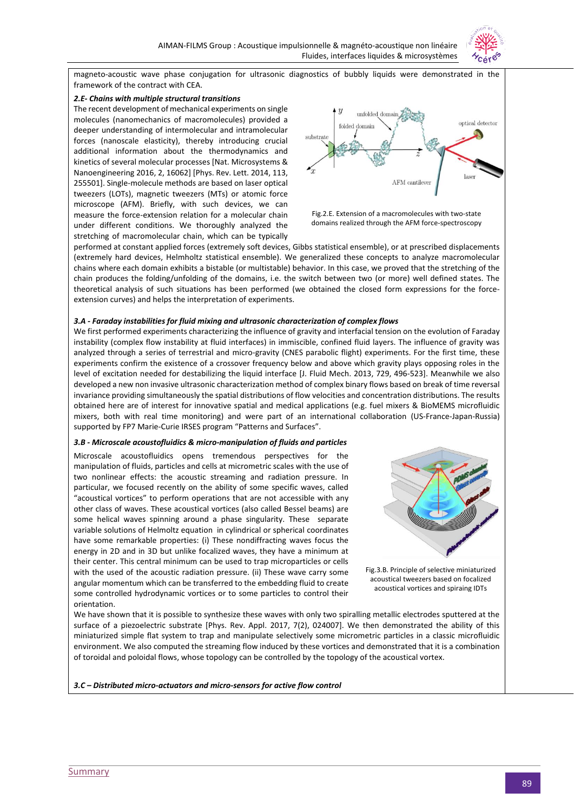

magneto-acoustic wave phase conjugation for ultrasonic diagnostics of bubbly liquids were demonstrated in the framework of the contract with CEA.

#### *2.E- Chains with multiple structural transitions*

The recent development of mechanical experiments on single molecules (nanomechanics of macromolecules) provided a deeper understanding of intermolecular and intramolecular forces (nanoscale elasticity), thereby introducing crucial additional information about the thermodynamics and kinetics of several molecular processes [Nat. Microsystems & Nanoengineering 2016, 2, 16062] [Phys. Rev. Lett. 2014, 113, 255501]. Single-molecule methods are based on laser optical tweezers (LOTs), magnetic tweezers (MTs) or atomic force microscope (AFM). Briefly, with such devices, we can measure the force-extension relation for a molecular chain under different conditions. We thoroughly analyzed the stretching of macromolecular chain, which can be typically





performed at constant applied forces (extremely soft devices, Gibbs statistical ensemble), or at prescribed displacements (extremely hard devices, Helmholtz statistical ensemble). We generalized these concepts to analyze macromolecular chains where each domain exhibits a bistable (or multistable) behavior. In this case, we proved that the stretching of the chain produces the folding/unfolding of the domains, i.e. the switch between two (or more) well defined states. The theoretical analysis of such situations has been performed (we obtained the closed form expressions for the forceextension curves) and helps the interpretation of experiments.

### *3.A - Faraday instabilities for fluid mixing and ultrasonic characterization of complex flows*

We first performed experiments characterizing the influence of gravity and interfacial tension on the evolution of Faraday instability (complex flow instability at fluid interfaces) in immiscible, confined fluid layers. The influence of gravity was analyzed through a series of terrestrial and micro-gravity (CNES parabolic flight) experiments. For the first time, these experiments confirm the existence of a crossover frequency below and above which gravity plays opposing roles in the level of excitation needed for destabilizing the liquid interface [J. Fluid Mech. 2013, 729, 496-523]. Meanwhile we also developed a new non invasive ultrasonic characterization method of complex binary flows based on break of time reversal invariance providing simultaneously the spatial distributions of flow velocities and concentration distributions. The results obtained here are of interest for innovative spatial and medical applications (e.g. fuel mixers & BioMEMS microfluidic mixers, both with real time monitoring) and were part of an international collaboration (US-France-Japan-Russia) supported by FP7 Marie-Curie IRSES program "Patterns and Surfaces".

#### *3.B - Microscale acoustofluidics & micro-manipulation of fluids and particles*

Microscale acoustofluidics opens tremendous perspectives for the manipulation of fluids, particles and cells at micrometric scales with the use of two nonlinear effects: the acoustic streaming and radiation pressure. In particular, we focused recently on the ability of some specific waves, called "acoustical vortices" to perform operations that are not accessible with any other class of waves. These acoustical vortices (also called Bessel beams) are some helical waves spinning around a phase singularity. These separate variable solutions of Helmoltz equation in cylindrical or spherical coordinates have some remarkable properties: (i) These nondiffracting waves focus the energy in 2D and in 3D but unlike focalized waves, they have a minimum at their center. This central minimum can be used to trap microparticles or cells with the used of the acoustic radiation pressure. (ii) These wave carry some angular momentum which can be transferred to the embedding fluid to create some controlled hydrodynamic vortices or to some particles to control their orientation.





We have shown that it is possible to synthesize these waves with only two spiralling metallic electrodes sputtered at the surface of a piezoelectric substrate [Phys. Rev. Appl. 2017, 7(2), 024007]. We then demonstrated the ability of this miniaturized simple flat system to trap and manipulate selectively some micrometric particles in a classic microfluidic environment. We also computed the streaming flow induced by these vortices and demonstrated that it is a combination of toroidal and poloidal flows, whose topology can be controlled by the topology of the acoustical vortex.

#### *3.C – Distributed micro-actuators and micro-sensors for active flow control*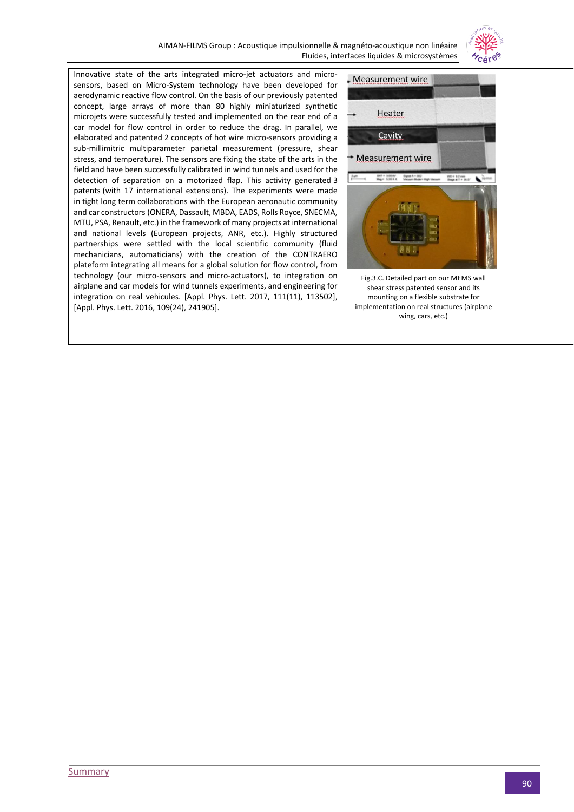

Innovative state of the arts integrated micro-jet actuators and microsensors, based on Micro-System technology have been developed for aerodynamic reactive flow control. On the basis of our previously patented concept, large arrays of more than 80 highly miniaturized synthetic microjets were successfully tested and implemented on the rear end of a car model for flow control in order to reduce the drag. In parallel, we elaborated and patented 2 concepts of hot wire micro-sensors providing a sub-millimitric multiparameter parietal measurement (pressure, shear stress, and temperature). The sensors are fixing the state of the arts in the field and have been successfully calibrated in wind tunnels and used for the detection of separation on a motorized flap. This activity generated 3 patents (with 17 international extensions). The experiments were made in tight long term collaborations with the European aeronautic community and car constructors (ONERA, Dassault, MBDA, EADS, Rolls Royce, SNECMA, MTU, PSA, Renault, etc.) in the framework of many projects at international and national levels (European projects, ANR, etc.). Highly structured partnerships were settled with the local scientific community (fluid mechanicians, automaticians) with the creation of the CONTRAERO plateform integrating all means for a global solution for flow control, from technology (our micro-sensors and micro-actuators), to integration on airplane and car models for wind tunnels experiments, and engineering for integration on real vehicules. [Appl. Phys. Lett. 2017, 111(11), 113502], [Appl. Phys. Lett. 2016, 109(24), 241905].

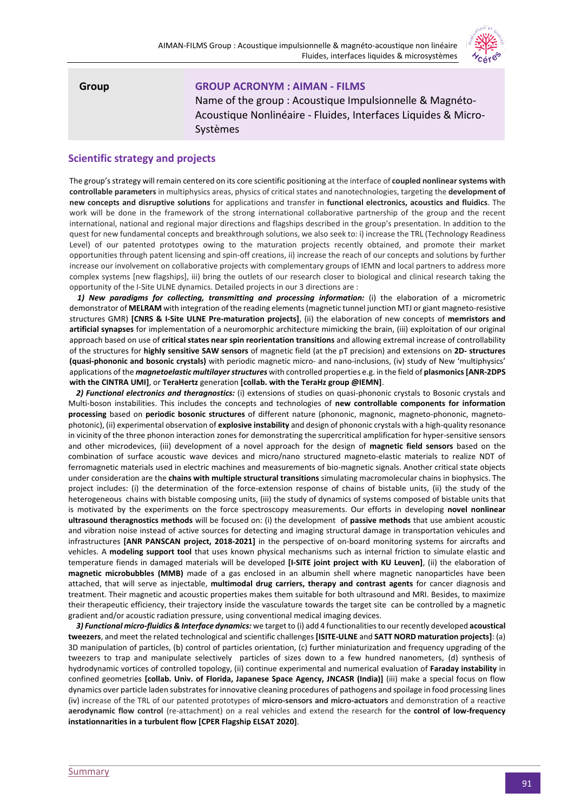

**Group GROUP ACRONYM : AIMAN - FILMS** Name of the group : Acoustique Impulsionnelle & Magnéto-Acoustique Nonlinéaire - Fluides, Interfaces Liquides & Micro-Systèmes

# **Scientific strategy and projects**

The group's strategy will remain centered on its core scientific positioning at the interface of **coupled nonlinear systems with controllable parameters** in multiphysics areas, physics of critical states and nanotechnologies, targeting the **development of new concepts and disruptive solutions** for applications and transfer in **functional electronics, acoustics and fluidics**. The work will be done in the framework of the strong international collaborative partnership of the group and the recent international, national and regional major directions and flagships described in the group's presentation. In addition to the quest for new fundamental concepts and breakthrough solutions, we also seek to: i) increase the TRL (Technology Readiness Level) of our patented prototypes owing to the maturation projects recently obtained, and promote their market opportunities through patent licensing and spin-off creations, ii) increase the reach of our concepts and solutions by further increase our involvement on collaborative projects with complementary groups of IEMN and local partners to address more complex systems [new flagships], iii) bring the outlets of our research closer to biological and clinical research taking the opportunity of the I-Site ULNE dynamics. Detailed projects in our 3 directions are :

 *1) New paradigms for collecting, transmitting and processing information:* (i) the elaboration of a micrometric demonstrator of **MELRAM** with integration of the reading elements (magnetic tunnel junction MTJ or giant magneto-resistive structures GMR) **[CNRS & I-Site ULNE Pre-maturation projects]**, (ii) the elaboration of new concepts of **memristors and artificial synapses** for implementation of a neuromorphic architecture mimicking the brain, (iii) exploitation of our original approach based on use of **critical states near spin reorientation transitions** and allowing extremal increase of controllability of the structures for **highly sensitive SAW sensors** of magnetic field (at the pT precision) and extensions on **2D- structures (quasi-phononic and bosonic crystals)** with periodic magnetic micro- and nano-inclusions, (iv) study of New 'multiphysics' applications of the *magnetoelastic multilayer structures* with controlled properties e.g. in the field of **plasmonics[ANR-2DPS with the CINTRA UMI]**, or **TeraHertz** generation **[collab. with the TeraHz group @IEMN]**.

 *2) Functional electronics and theragnostics:* (i) extensions of studies on quasi-phononic crystals to Bosonic crystals and Multi-boson instabilities. This includes the concepts and technologies of **new controllable components for information processing** based on **periodic bosonic structures** of different nature (phononic, magnonic, magneto-phononic, magnetophotonic), (ii) experimental observation of **explosive instability** and design of phononic crystals with a high-quality resonance in vicinity of the three phonon interaction zones for demonstrating the supercritical amplification for hyper-sensitive sensors and other microdevices, (iii) development of a novel approach for the design of **magnetic field sensors** based on the combination of surface acoustic wave devices and micro/nano structured magneto-elastic materials to realize NDT of ferromagnetic materials used in electric machines and measurements of bio-magnetic signals. Another critical state objects under consideration are the **chains with multiple structural transitions** simulating macromolecular chains in biophysics. The project includes: (i) the determination of the force-extension response of chains of bistable units, (ii) the study of the heterogeneous chains with bistable composing units, (iii) the study of dynamics of systems composed of bistable units that is motivated by the experiments on the force spectroscopy measurements. Our efforts in developing **novel nonlinear ultrasound theragnostics methods** will be focused on: (i) the development of **passive methods** that use ambient acoustic and vibration noise instead of active sources for detecting and imaging structural damage in transportation vehicules and infrastructures **[ANR PANSCAN project, 2018-2021]** in the perspective of on-board monitoring systems for aircrafts and vehicles. A **modeling support tool** that uses known physical mechanisms such as internal friction to simulate elastic and temperature fiends in damaged materials will be developed **[I-SITE joint project with KU Leuven]**, (ii) the elaboration of **magnetic microbubbles (MMB)** made of a gas enclosed in an albumin shell where magnetic nanoparticles have been attached, that will serve as injectable, **multimodal drug carriers, therapy and contrast agents** for cancer diagnosis and treatment. Their magnetic and acoustic properties makes them suitable for both ultrasound and MRI. Besides, to maximize their therapeutic efficiency, their trajectory inside the vasculature towards the target site can be controlled by a magnetic gradient and/or acoustic radiation pressure, using conventional medical imaging devices.

 *3) Functional micro-fluidics & Interface dynamics:* we target to (i) add 4 functionalities to our recently developed **acoustical tweezers**, and meet the related technological and scientific challenges **[ISITE-ULNE** and **SATT NORD maturation projects]**: (a) 3D manipulation of particles, (b) control of particles orientation, (c) further miniaturization and frequency upgrading of the tweezers to trap and manipulate selectively particles of sizes down to a few hundred nanometers, (d) synthesis of hydrodynamic vortices of controlled topology, (ii) continue experimental and numerical evaluation of **Faraday instability** in confined geometries **[collab. Univ. of Florida, Japanese Space Agency, JNCASR (India)]** (iii) make a special focus on flow dynamics over particle laden substrates for innovative cleaning procedures of pathogens and spoilage in food processing lines (iv) increase of the TRL of our patented prototypes of **micro-sensors and micro-actuators** and demonstration of a reactive **aerodynamic flow control** (re-attachment) on a real vehicles and extend the research for the **control of low-frequency instationnarities in a turbulent flow [CPER Flagship ELSAT 2020]**.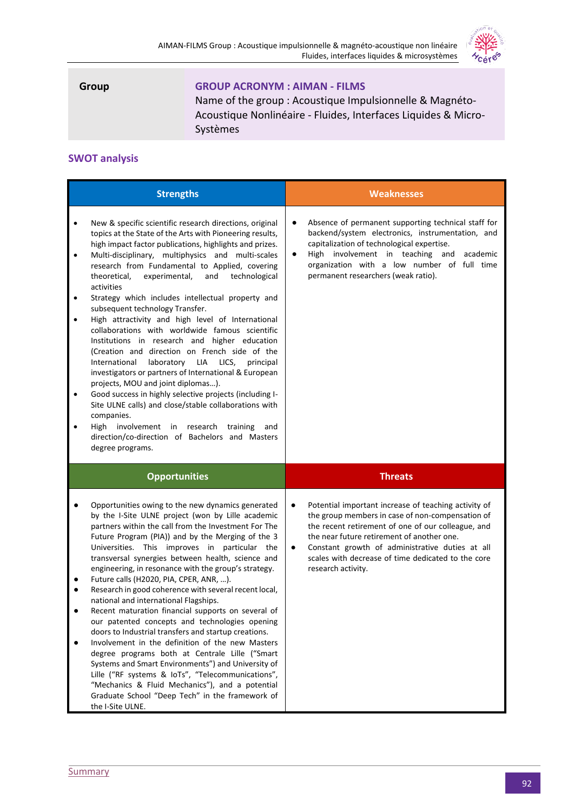

# **Group GROUP ACRONYM : AIMAN - FILMS**

Name of the group : Acoustique Impulsionnelle & Magnéto-Acoustique Nonlinéaire - Fluides, Interfaces Liquides & Micro-Systèmes

# **SWOT analysis**

| <b>Strengths</b>                                                                                                                                                                                                                                                                                                                                                                                                                                                                                                                                                                                                                                                                                                                                                                                                                                                                                                                                                                                                                                                                                                                       | <b>Weaknesses</b>                                                                                                                                                                                                                                                                                                                                             |
|----------------------------------------------------------------------------------------------------------------------------------------------------------------------------------------------------------------------------------------------------------------------------------------------------------------------------------------------------------------------------------------------------------------------------------------------------------------------------------------------------------------------------------------------------------------------------------------------------------------------------------------------------------------------------------------------------------------------------------------------------------------------------------------------------------------------------------------------------------------------------------------------------------------------------------------------------------------------------------------------------------------------------------------------------------------------------------------------------------------------------------------|---------------------------------------------------------------------------------------------------------------------------------------------------------------------------------------------------------------------------------------------------------------------------------------------------------------------------------------------------------------|
| New & specific scientific research directions, original<br>$\bullet$<br>topics at the State of the Arts with Pioneering results,<br>high impact factor publications, highlights and prizes.<br>Multi-disciplinary, multiphysics and multi-scales<br>$\bullet$<br>research from Fundamental to Applied, covering<br>experimental,<br>and<br>theoretical,<br>technological<br>activities<br>Strategy which includes intellectual property and<br>subsequent technology Transfer.<br>High attractivity and high level of International<br>$\bullet$<br>collaborations with worldwide famous scientific<br>Institutions in research and higher education<br>(Creation and direction on French side of the<br>International<br>laboratory LIA<br>LICS,<br>principal<br>investigators or partners of International & European<br>projects, MOU and joint diplomas).<br>Good success in highly selective projects (including I-<br>$\bullet$<br>Site ULNE calls) and close/stable collaborations with<br>companies.<br>High<br>involvement in research training<br>and<br>direction/co-direction of Bachelors and Masters<br>degree programs. | Absence of permanent supporting technical staff for<br>$\bullet$<br>backend/system electronics, instrumentation, and<br>capitalization of technological expertise.<br>High involvement in teaching and<br>academic<br>$\bullet$<br>organization with a low number of full time<br>permanent researchers (weak ratio).                                         |
| <b>Opportunities</b>                                                                                                                                                                                                                                                                                                                                                                                                                                                                                                                                                                                                                                                                                                                                                                                                                                                                                                                                                                                                                                                                                                                   | <b>Threats</b>                                                                                                                                                                                                                                                                                                                                                |
| Opportunities owing to the new dynamics generated<br>by the I-Site ULNE project (won by Lille academic<br>partners within the call from the Investment For The<br>Future Program (PIA)) and by the Merging of the 3<br>Universities. This improves in particular the<br>transversal synergies between health, science and<br>engineering, in resonance with the group's strategy.<br>Future calls (H2020, PIA, CPER, ANR, ).<br>Research in good coherence with several recent local,<br>national and international Flagships.<br>Recent maturation financial supports on several of<br>our patented concepts and technologies opening<br>doors to Industrial transfers and startup creations.<br>Involvement in the definition of the new Masters<br>degree programs both at Centrale Lille ("Smart<br>Systems and Smart Environments") and University of<br>Lille ("RF systems & IoTs", "Telecommunications",<br>"Mechanics & Fluid Mechanics"), and a potential<br>Graduate School "Deep Tech" in the framework of<br>the I-Site ULNE.                                                                                              | $\bullet$<br>Potential important increase of teaching activity of<br>the group members in case of non-compensation of<br>the recent retirement of one of our colleague, and<br>the near future retirement of another one.<br>Constant growth of administrative duties at all<br>٠<br>scales with decrease of time dedicated to the core<br>research activity. |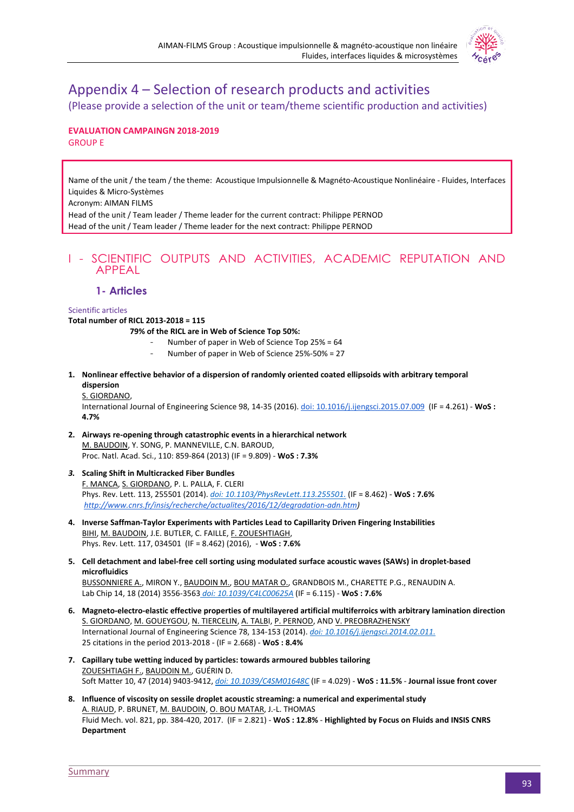

# Appendix 4 – Selection of research products and activities

(Please provide a selection of the unit or team/theme scientific production and activities)

# **EVALUATION CAMPAINGN 2018-2019** GROUP E

Name of the unit / the team / the theme: Acoustique Impulsionnelle & Magnéto-Acoustique Nonlinéaire - Fluides, Interfaces Liquides & Micro-Systèmes

Acronym: AIMAN FILMS

Head of the unit / Team leader / Theme leader for the current contract: Philippe PERNOD Head of the unit / Team leader / Theme leader for the next contract: Philippe PERNOD

# I - SCIENTIFIC OUTPUTS AND ACTIVITIES, ACADEMIC REPUTATION AND APPEAL

# **1- Articles**

# Scientific articles

**Total number of RICL 2013-2018 = 115**

- **79% of the RICL are in Web of Science Top 50%:**
	- Number of paper in Web of Science Top 25% = 64
	- Number of paper in Web of Science 25%-50% = 27
- **1. Nonlinear effective behavior of a dispersion of randomly oriented coated ellipsoids with arbitrary temporal dispersion**

# S. GIORDANO,

International Journal of Engineering Science 98, 14-35 (2016)[.](https://doi.org/10.1016/j.ijengsci.2014.02.011) [doi: 10.1016/j.ijengsci.2015.07.009](https://doi.org/10.1016/j.ijengsci.2014.02.011) (IF = 4.261) - **WoS : 4.7%**

- **2. Airways re-opening through catastrophic events in a hierarchical network** M. BAUDOIN, Y. SONG, P. MANNEVILLE, C.N. BAROUD, [Proc. Natl. Acad. Sci.,](http://www.pnas.org/content/110/3/859.full.pdf+html) 110: 859-864 (2013) (IF = 9.809) - **WoS : 7.3%**
- *3.* **Scaling Shift in Multicracked Fiber Bundles** F. MANCA, S. GIORDANO, P. L. PALLA, F. CLERI Phys. Rev. Lett. 113, 255501 (2014)[.](https://doi.org/10.1103/PhysRevLett.113.255501) *[doi: 10.1103/PhysRevLett.113.255501.](https://doi.org/10.1103/PhysRevLett.113.255501)* (IF = 8.462) - **WoS : 7.6%** *[http://www.cnrs.fr/insis/recherche/actualites/2016/12/degradation-adn.htm\)](http://www.cnrs.fr/insis/recherche/actualites/2016/12/degradation-adn.htm)*
- **4. Inverse Saffman-Taylor Experiments with Particles Lead to Capillarity Driven Fingering Instabilities** BIHI, M. BAUDOIN, J.E. BUTLER, C. FAILLE, F. ZOUESHTIAGH, Phys. Rev. Lett. 117, 034501 (IF = 8.462) (2016), - **WoS : 7.6%**
- **5. Cell detachment and label-free cell sorting using modulated surface acoustic waves (SAWs) in droplet-based microfluidics**

BUSSONNIERE A., MIRON Y., BAUDOIN M., BOU MATAR O., GRANDBOIS M., CHARETTE P.G., RENAUDIN A. Lab Chip 14, 18 (2014) 3556-3563 *[doi: 10.1039/C4LC00625A](http://dx.doi.org/10.1039/C4LC00625A)* (IF = 6.115) - **WoS : 7.6%**

- **6. Magneto-electro-elastic effective properties of multilayered artificial multiferroics with arbitrary lamination direction** S. GIORDANO, M. GOUEYGOU, N. TIERCELIN, A. TALBI, P. PERNOD, AND V. PREOBRAZHENSKY International Journal of Engineering Science 78, 134-153 (2014). *[doi: 10.1016/j.ijengsci.2014.02.011.](https://doi.org/10.1016/j.ijengsci.2014.02.011)* 25 citations in the period 2013-2018 - (IF = 2.668) - **WoS : 8.4%**
- **7. Capillary tube wetting induced by particles: towards armoured bubbles tailoring** ZOUESHTIAGH F., BAUDOIN M., GUÉRIN D. Soft Matter 10, 47 (2014) 9403-9412, *[doi: 10.1039/C4SM01648C](http://dx.doi.org/10.1039/C4SM01648C)* (IF = 4.029) - **WoS : 11.5%** - **Journal issue front cover**
- **8. Influence of viscosity on sessile droplet acoustic streaming: a numerical and experimental study** A. RIAUD, P. BRUNET, M. BAUDOIN, O. BOU MATAR, J.-L. THOMAS Fluid Mech. vol. 821, pp. 384-420, 2017. (IF = 2.821) - **WoS : 12.8%** - **Highlighted by Focus on Fluids and INSIS CNRS Department**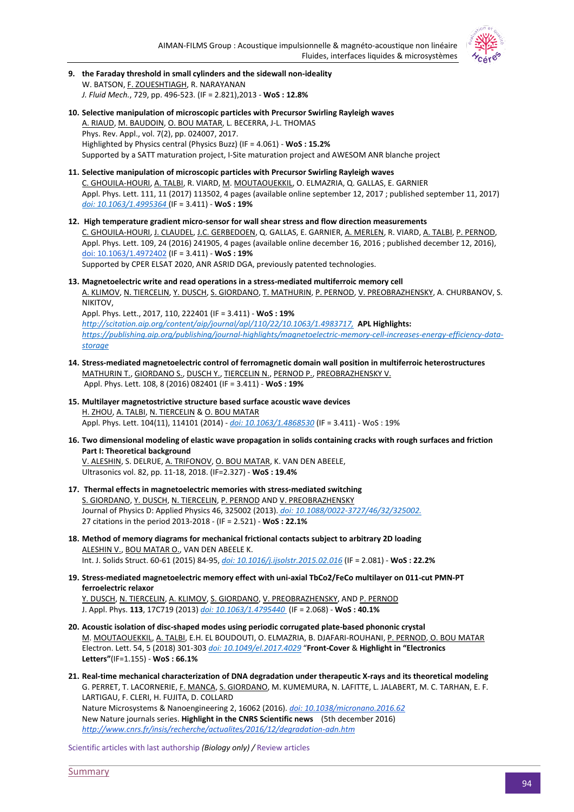

- **9. the Faraday threshold in small cylinders and the sidewall non-ideality** W. BATSON, F. ZOUESHTIAGH, R. NARAYANAN *J. Fluid Mech.*, 729, pp. 496-523. (IF = 2.821),2013 - **WoS : 12.8%**
- **10. Selective manipulation of microscopic particles with Precursor Swirling Rayleigh waves** A. RIAUD, M. BAUDOIN, O. BOU MATAR, L. BECERRA, J-L. THOMAS Phys. Rev. Appl., vol. 7(2), pp. 024007, 2017. Highlighted by Physics central (Physics Buzz) (IF = 4.061) - **WoS : 15.2%** Supported by a SATT maturation project, I-Site maturation project and AWESOM ANR blanche project
- **11. Selective manipulation of microscopic particles with Precursor Swirling Rayleigh waves** C. GHOUILA-HOURI, A. TALBI, R. VIARD, M. MOUTAOUEKKIL, O. ELMAZRIA, Q. GALLAS, E. GARNIER Appl. Phys. Lett. 111, 11 (2017) 113502, 4 pages (available online september 12, 2017 ; published september 11, 2017[\)](http://doi.org/10.1063/1.4995364) *[doi: 10.1063/1.4995364](http://doi.org/10.1063/1.4995364)* (IF = 3.411) - **WoS : 19[%](http://doi.org/10.1063/1.4995364)**
- **12. High temperature gradient micro-sensor for wall shear stress and flow direction measurements** C. GHOUILA-HOURI, J. CLAUDEL, J.C. GERBEDOEN, Q. GALLAS, E. GARNIER, A. MERLEN, R. VIARD, A. TALBI, P. PERNOD, Appl. Phys. Lett. 109, 24 (2016) 241905, 4 pages (available online december 16, 2016 ; published december 12, 2016)[,](http://dx.doi.org/10.1063/1.4972402) [doi: 10.1063/1.4972402](http://dx.doi.org/10.1063/1.4972402) (IF = 3.411) - **WoS : 19%** Supported by CPER ELSAT 2020, ANR ASRID DGA, previously patented technologies.
- **13. Magnetoelectric write and read operations in a stress-mediated multiferroic memory cell**
	- A. KLIMOV, N. TIERCELIN, Y. DUSCH, S. GIORDANO, T. MATHURIN, P. PERNOD, V. PREOBRAZHENSKY, A. CHURBANOV, S. NIKITOV,

Appl. Phys. Lett., 2017, 110, 222401 (IF = 3.411) - **WoS : 19%** *[http://scitation.aip.org/content/aip/journal/apl/110/22/10.1063/1.4983717,](http://scitation.aip.org/content/aip/journal/apl/110/22/10.1063/1.4983717)* **APL Highlights:** *[https://publishing.aip.org/publishing/journal-highlights/magnetoelectric-memory-cell-increases-energy-efficiency-data](https://publishing.aip.org/publishing/journal-highlights/magnetoelectric-memory-cell-increases-energy-efficiency-data-storage)[storage](https://publishing.aip.org/publishing/journal-highlights/magnetoelectric-memory-cell-increases-energy-efficiency-data-storage)*

- **14. Stress-mediated magnetoelectric control of ferromagnetic domain wall position in multiferroic heterostructures** MATHURIN T., GIORDANO S., DUSCH Y., TIERCELIN N., PERNOD P., PREOBRAZHENSKY V. Appl. Phys. Lett. 108, 8 (2016) 082401 (IF = 3.411) - **WoS : 19%**
- **15. Multilayer magnetostrictive structure based surface acoustic wave devices** H. ZHOU, A. TALBI, N. TIERCELIN & O. BOU MATAR Appl. Phys. Lett. 104(11), 114101 (2014) - *[doi: 10.1063/1.4868530](http://dx.doi.org/10.1063/1.4868530)* (IF = 3.411) - WoS : 19%
- **16. Two dimensional modeling of elastic wave propagation in solids containing cracks with rough surfaces and friction Part I: Theoretical background**

V. ALESHIN, S. DELRUE, A. TRIFONOV, O. BOU MATAR, K. VAN DEN ABEELE, Ultrasonics vol. 82, pp. 11-18, 2018. (IF=2.327) - **WoS : 19.4[%](https://publishing.aip.org/publishing/journal-highlights/magnetoelectric-memory-cell-increases-energy-efficiency-data-storage)** 

- **17. Thermal effects in magnetoelectric memories with stress-mediated switching** S. GIORDANO, Y. DUSCH, N. TIERCELIN, P. PERNOD AND V. PREOBRAZHENSKY Journal of Physics D: Applied Physics 46, 325002 (2013). *[doi: 10.1088/0022-3727/46/32/325002.](https://doi.org/10.1088/0022-3727/46/32/325002)* 27 citations in the period 2013-2018 - (IF = 2.521) - **WoS : 22.1%**
- **18. Method of memory diagrams for mechanical frictional contacts subject to arbitrary 2D loading** ALESHIN V., BOU MATAR O., VAN DEN ABEELE K. Int. J. Solids Struct. 60-61 (2015) 84-95, *[doi: 10.1016/j.ijsolstr.2015.02.016](http://dx.doi.org/10.1016/j.ijsolstr.2015.02.016)* (IF = 2.081) - **WoS : 22.2%**
- **19. Stress-mediated magnetoelectric memory effect with uni-axial TbCo2/FeCo multilayer on 011-cut PMN-PT ferroelectric relaxor**

Y. DUSCH, N. TIERCELIN, A. KLIMOV, S. GIORDANO, V. PREOBRAZHENSKY, AND P. PERNOD J. Appl. Phys. **113**, 17C719 (2013) *[doi: 10.1063/1.4795440](http://dx.doi.org/10.1063/1.4795440)* (IF = 2.068) - **WoS : 40.1%**

- **20. Acoustic isolation of disc-shaped modes using periodic corrugated plate-based phononic crystal** M. MOUTAOUEKKIL, A. TALBI, E.H. EL BOUDOUTI, O. ELMAZRIA, B. DJAFARI-ROUHANI, P. PERNOD, O. BOU MATAR Electron. Lett. 54, 5 (2018) 301-303 *[doi: 10.1049/el.2017.4029](http://dx.doi.org/10.1049/el.2017.4029)* "**Front-Cover** & **Highlight in "Electronics Letters"**(IF=1.155) - **WoS : 66.1%**
- **21. Real-time mechanical characterization of DNA degradation under therapeutic X-rays and its theoretical modeling** G. PERRET, T. LACORNERIE, F. MANCA, S. GIORDANO, M. KUMEMURA, N. LAFITTE, L. JALABERT, M. C. TARHAN, E. F. LARTIGAU, F. CLERI, H. FUJITA, D. COLLARD Nature Microsystems & Nanoengineering 2, 16062 (2016). *[doi: 10.1038/micronano.2016.62](https://doi.org/10.1038/micronano.2016.62)* New Nature journals series. **Highlight in the CNRS Scientific news** (5th december 2016) *http://www.cnrs.fr/insis/recherche/actualites/2016/12/degradation-adn.htm*

Scientific articles with last authorship *(Biology only) /* Review articles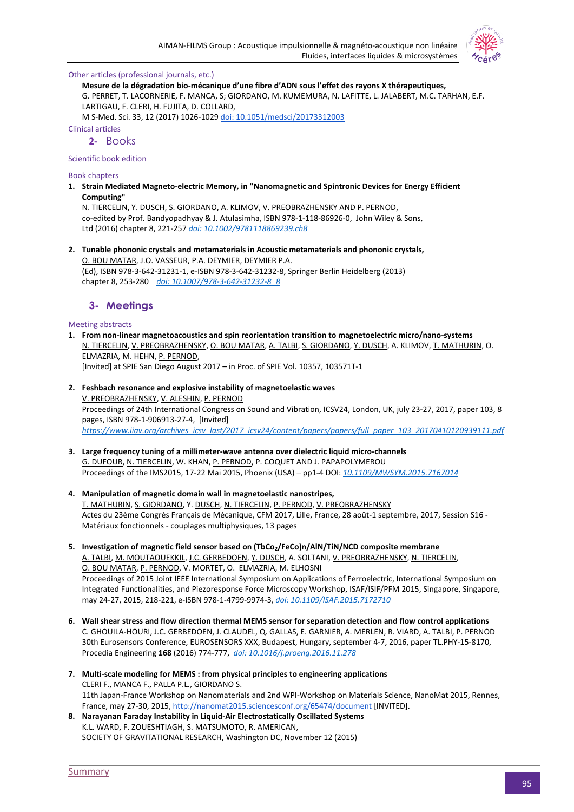Other articles (professional journals, etc.)



M S-Med. Sci. 33, 12 (2017) 1026-1029 [doi: 10.1051/medsci/20173312003](https://doi.org/10.1051/medsci/20173312003)

Clinical articles

**2-** Books

Scientific book edition

Book chapters

**1. Strain Mediated Magneto-electric Memory, in "Nanomagnetic and Spintronic Devices for Energy Efficient Computing"**

N. TIERCELIN, Y. DUSCH, S. GIORDANO, A. KLIMOV, V. PREOBRAZHENSKY AND P. PERNOD, co-edited by Prof. Bandyopadhyay & J. Atulasimha, ISBN 978-1-118-86926-0, John Wiley & Sons, Ltd (2016) chapter 8, 221-257 *[doi: 10.1002/9781118869239.ch8](http://dx.doi.org/10.1002/9781118869239.ch8)*

**2. Tunable phononic crystals and metamaterials in Acoustic metamaterials and phononic crystals,** O. BOU MATAR, J.O. VASSEUR, P.A. DEYMIER, DEYMIER P.A. (Ed), ISBN 978-3-642-31231-1, e-ISBN 978-3-642-31232-8, Springer Berlin Heidelberg (2013) chapter 8, 253-280 *[doi: 10.1007/978-3-642-31232-8\\_8](http://dx.doi.org/10.1007/978-3-642-31232-8_8)*

# **3- Meetings**

Meeting abstracts

- **1. From non-linear magnetoacoustics and spin reorientation transition to magnetoelectric micro/nano-systems** N. TIERCELIN, V. PREOBRAZHENSKY, O. BOU MATAR, A. TALBI, S. GIORDANO, Y. DUSCH, A. KLIMOV, T. MATHURIN, O. ELMAZRIA, M. HEHN, P. PERNOD, [Invited] at SPIE San Diego August 2017 – in Proc. of SPIE Vol. 10357, 103571T-1
- **2. Feshbach resonance and explosive instability of magnetoelastic waves** V. PREOBRAZHENSKY, V. ALESHIN, P. PERNOD Proceedings of 24th International Congress on Sound and Vibration, ICSV24, London, UK, july 23-27, 2017, paper 103, 8 pages, ISBN 978-1-906913-27-4, [Invited] *[https://www.iiav.org/archives\\_icsv\\_last/2017\\_icsv24/content/papers/papers/full\\_paper\\_103\\_20170410120939111.pdf](https://www.iiav.org/archives_icsv_last/2017_icsv24/content/papers/papers/full_paper_103_20170410120939111.pdf)*
- **3. Large frequency tuning of a millimeter-wave antenna over dielectric liquid micro-channels** G. DUFOUR, N. TIERCELIN, W. KHAN, P. PERNOD, P. COQUET AND J. PAPAPOLYMEROU Proceedings of the IMS2015, 17-22 Mai 2015, Phoenix (USA) – pp1-4 DOI: *[10.1109/MWSYM.2015.7167014](http://dx.doi.org/10.1109/MWSYM.2015.7167014)*
- **4. Manipulation of magnetic domain wall in magnetoelastic nanostripes,** T. MATHURIN, S. GIORDANO, Y. DUSCH, N. TIERCELIN, P. PERNOD, V. PREOBRAZHENSKY Actes du 23ème Congrès Français de Mécanique, CFM 2017, Lille, France, 28 août-1 septembre, 2017, Session S16 - Matériaux fonctionnels - couplages multiphysiques, 13 pages
- **5. Investigation of magnetic field sensor based on (TbCo2/FeCo)n/AlN/TiN/NCD composite membrane** A. TALBI, M. MOUTAOUEKKIL, J.C. GERBEDOEN, Y. DUSCH, A. SOLTANI, V. PREOBRAZHENSKY, N. TIERCELIN, O. BOU MATAR, P. PERNOD, V. MORTET, O. ELMAZRIA, M. ELHOSNI Proceedings of 2015 Joint IEEE International Symposium on Applications of Ferroelectric, International Symposium on Integrated Functionalities, and Piezoresponse Force Microscopy Workshop, ISAF/ISIF/PFM 2015, Singapore, Singapore, may 24-27, 2015, 218-221, e-ISBN 978-1-4799-9974-3, *[doi: 10.1109/ISAF.2015.7172710](http://dx.doi.org/10.1109/ISAF.2015.7172710)*
- **6. Wall shear stress and flow direction thermal MEMS sensor for separation detection and flow control applications** C. GHOUILA-HOURI, J.C. GERBEDOEN, J. CLAUDEL, Q. GALLAS, E. GARNIER, A. MERLEN, R. VIARD, A. TALBI, P. PERNOD 30th Eurosensors Conference, EUROSENSORS XXX, Budapest, Hungary, september 4-7, 2016, paper TL.PHY-15-8170, Procedia Engineering **168** (2016) 774-777, *[doi: 10.1016/j.proeng.2016.11.278](http://dx.doi.org/10.1016/j.proeng.2016.11.278)*
- **7. Multi-scale modeling for MEMS : from physical principles to engineering applications** CLERI F., MANCA F., PALLA P.L., GIORDANO S. 11th Japan-France Workshop on Nanomaterials and 2nd WPI-Workshop on Materials Science, NanoMat 2015, Rennes, France, may 27-30, 2015, <http://nanomat2015.sciencesconf.org/65474/document> [INVITED].
- **8. Narayanan Faraday Instability in Liquid-Air Electrostatically Oscillated Systems** K.L. WARD, F. ZOUESHTIAGH, S. MATSUMOTO, R. AMERICAN, SOCIETY OF GRAVITATIONAL RESEARCH, Washington DC, November 12 (2015)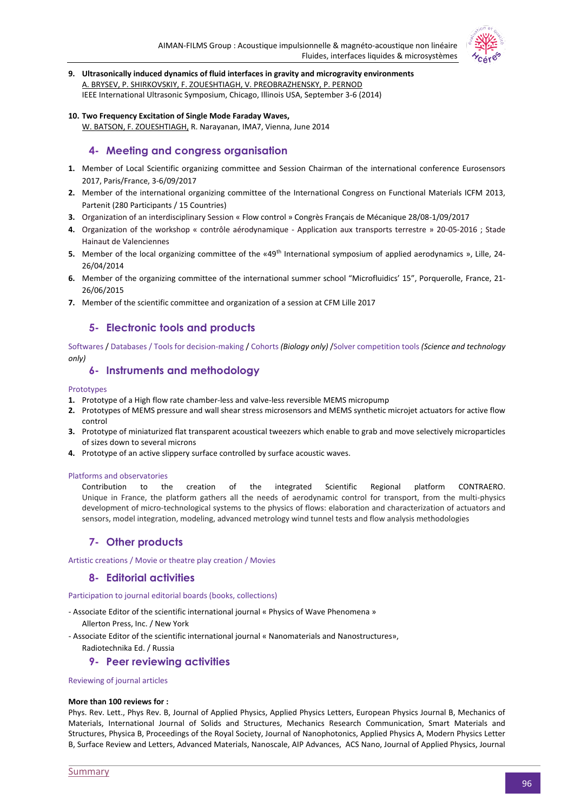

- **9. Ultrasonically induced dynamics of fluid interfaces in gravity and microgravity environments** A. BRYSEV, P. SHIRKOVSKIY, F. ZOUESHTIAGH, V. PREOBRAZHENSKY, P. PERNOD IEEE International Ultrasonic Symposium, Chicago, Illinois USA, September 3-6 (2014)
- **10. Two Frequency Excitation of Single Mode Faraday Waves,**

W. BATSON, F. ZOUESHTIAGH, R. Narayanan, IMA7, Vienna, June 2014

# **4- Meeting and congress organisation**

- **1.** Member of Local Scientific organizing committee and Session Chairman of the international conference Eurosensors 2017, Paris/France, 3-6/09/2017
- **2.** Member of the international organizing committee of the International Congress on Functional Materials ICFM 2013, Partenit (280 Participants / 15 Countries)
- **3.** Organization of an interdisciplinary Session « Flow control » Congrès Français de Mécanique 28/08-1/09/2017
- **4.** Organization of the workshop « contrôle aérodynamique Application aux transports terrestre » 20-05-2016 ; Stade Hainaut de Valenciennes
- **5.** Member of the local organizing committee of the «49<sup>th</sup> International symposium of applied aerodynamics », Lille, 24-26/04/2014
- **6.** Member of the organizing committee of the international summer school "Microfluidics' 15", Porquerolle, France, 21- 26/06/2015
- **7.** Member of the scientific committee and organization of a session at CFM Lille 2017

# **5- Electronic tools and products**

Softwares / Databases / Tools for decision-making / Cohorts *(Biology only)* /Solver competition tools *(Science and technology only)*

# **6- Instruments and methodology**

# Prototypes

- **1.** Prototype of a High flow rate chamber-less and valve-less reversible MEMS micropump
- **2.** Prototypes of MEMS pressure and wall shear stress microsensors and MEMS synthetic microjet actuators for active flow control
- **3.** Prototype of miniaturized flat transparent acoustical tweezers which enable to grab and move selectively microparticles of sizes down to several microns
- **4.** Prototype of an active slippery surface controlled by surface acoustic waves.

### Platforms and observatories

Contribution to the creation of the integrated Scientific Regional platform CONTRAERO. Unique in France, the platform gathers all the needs of aerodynamic control for transport, from the multi-physics development of micro-technological systems to the physics of flows: elaboration and characterization of actuators and sensors, model integration, modeling, advanced metrology wind tunnel tests and flow analysis methodologies

# **7- Other products**

Artistic creations / Movie or theatre play creation / Movies

# **8- Editorial activities**

Participation to journal editorial boards (books, collections)

- Associate Editor of the scientific international journal « Physics of Wave Phenomena »
	- Allerton Press, Inc. / New York
- Associate Editor of the scientific international journal « Nanomaterials and Nanostructures»,

Radiotechnika Ed. / Russia

# **9- Peer reviewing activities**

# Reviewing of journal articles

### **More than 100 reviews for :**

Phys. Rev. Lett., Phys Rev. B, Journal of Applied Physics, Applied Physics Letters, European Physics Journal B, Mechanics of Materials, International Journal of Solids and Structures, Mechanics Research Communication, Smart Materials and Structures, Physica B, Proceedings of the Royal Society, Journal of Nanophotonics, Applied Physics A, Modern Physics Letter B, Surface Review and Letters, Advanced Materials, Nanoscale, AIP Advances, ACS Nano, Journal of Applied Physics, Journal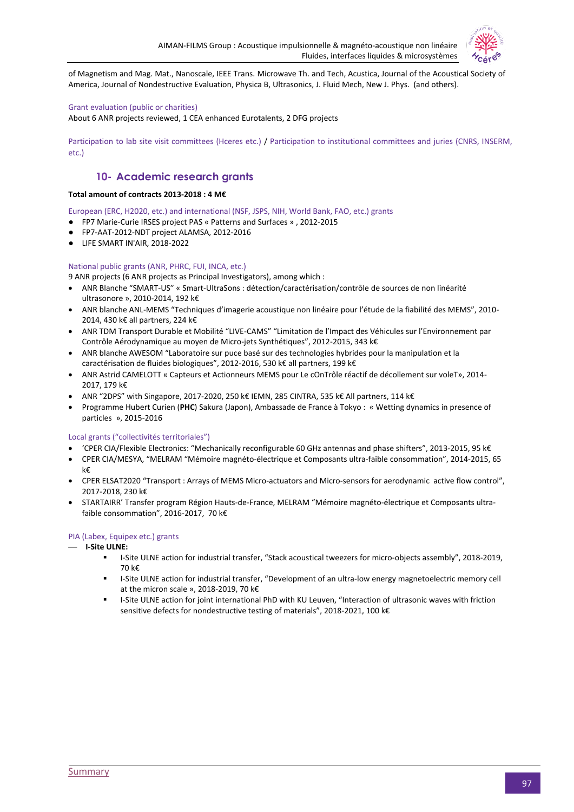

of Magnetism and Mag. Mat., Nanoscale, IEEE Trans. Microwave Th. and Tech, Acustica, Journal of the Acoustical Society of America, Journal of Nondestructive Evaluation, Physica B, Ultrasonics, J. Fluid Mech, New J. Phys. (and others).

### Grant evaluation (public or charities)

About 6 ANR projects reviewed, 1 CEA enhanced Eurotalents, 2 DFG projects

Participation to lab site visit committees (Hceres etc.) / Participation to institutional committees and juries (CNRS, INSERM, etc.)

# **10- Academic research grants**

# **Total amount of contracts 2013-2018 : 4 M€**

European (ERC, H2020, etc.) and international (NSF, JSPS, NIH, World Bank, FAO, etc.) grants

- FP7 Marie-Curie IRSES project PAS « Patterns and Surfaces » , 2012-2015
- FP7-AAT-2012-NDT project ALAMSA, 2012-2016
- LIFE SMART IN'AIR, 2018-2022

### National public grants (ANR, PHRC, FUI, INCA, etc.)

9 ANR projects (6 ANR projects as Principal Investigators), among which :

- ANR Blanche "SMART-US" « Smart-UltraSons : détection/caractérisation/contrôle de sources de non linéarité ultrasonore », 2010-2014, 192 k€
- ANR blanche ANL-MEMS "Techniques d'imagerie acoustique non linéaire pour l'étude de la fiabilité des MEMS", 2010- 2014, 430 k€ all partners, 224 k€
- ANR TDM Transport Durable et Mobilité "LIVE-CAMS" "Limitation de l'Impact des Véhicules sur l'Environnement par Contrôle Aérodynamique au moyen de Micro-jets Synthétiques", 2012-2015, 343 k€
- ANR blanche AWESOM "Laboratoire sur puce basé sur des technologies hybrides pour la manipulation et la caractérisation de fluides biologiques", 2012-2016, 530 k€ all partners, 199 k€
- ANR Astrid CAMELOTT « Capteurs et Actionneurs MEMS pour Le cOnTrôle réactif de décollement sur voleT», 2014- 2017, 179 k€
- ANR "2DPS" with Singapore, 2017-2020, 250 k€ IEMN, 285 CINTRA, 535 k€ All partners, 114 k€
- Programme Hubert Curien (**PHC**) Sakura (Japon), Ambassade de France à Tokyo : « Wetting dynamics in presence of particles », 2015-2016

### Local grants ("collectivités territoriales")

- 'CPER CIA/Flexible Electronics: "Mechanically reconfigurable 60 GHz antennas and phase shifters", 2013-2015, 95 k€
- CPER CIA/MESYA, "MELRAM "Mémoire magnéto-électrique et Composants ultra-faible consommation", 2014-2015, 65 k€
- CPER ELSAT2020 "Transport : Arrays of MEMS Micro-actuators and Micro-sensors for aerodynamic active flow control", 2017-2018, 230 k€
- STARTAIRR' Transfer program Région Hauts-de-France, MELRAM "Mémoire magnéto-électrique et Composants ultrafaible consommation", 2016-2017, 70 k€

### PIA (Labex, Equipex etc.) grants

- **I-Site ULNE:**
	- I-Site ULNE action for industrial transfer, "Stack acoustical tweezers for micro-objects assembly", 2018-2019, 70 k€
	- I-Site ULNE action for industrial transfer, "Development of an ultra-low energy magnetoelectric memory cell at the micron scale », 2018-2019, 70 k€
	- I-Site ULNE action for joint international PhD with KU Leuven, "Interaction of ultrasonic waves with friction sensitive defects for nondestructive testing of materials", 2018-2021, 100 k€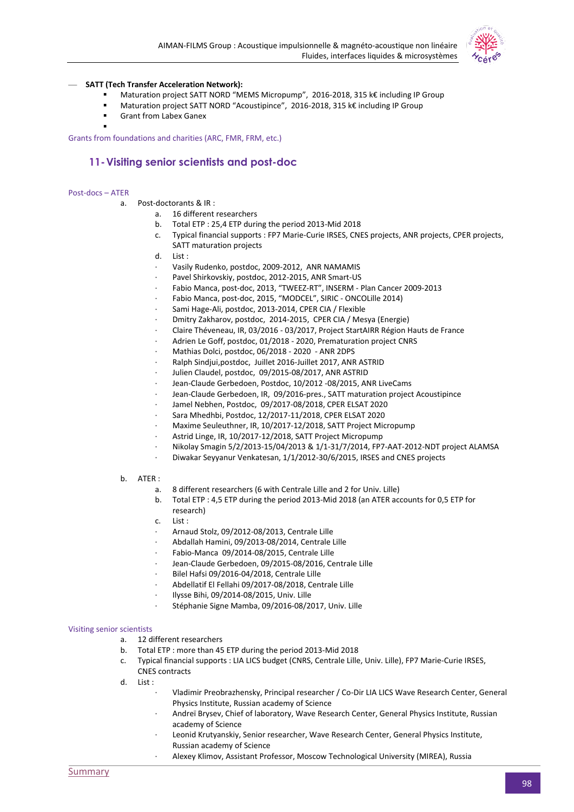

### — **SATT (Tech Transfer Acceleration Network):**

- Maturation project SATT NORD "MEMS Micropump", 2016-2018, 315 k€ including IP Group
- Maturation project SATT NORD "Acoustipince", 2016-2018, 315 k€ including IP Group
- Grant from Labex Ganex

Grants from foundations and charities (ARC, FMR, FRM, etc.)

# **11-Visiting senior scientists and post-doc**

#### Post-docs – ATER

.

- a. Post-doctorants & IR :
	- a. 16 different researchers
	- b. Total ETP : 25,4 ETP during the period 2013-Mid 2018
	- c. Typical financial supports : FP7 Marie-Curie IRSES, CNES projects, ANR projects, CPER projects, SATT maturation projects
	- d. List :
	- Vasily Rudenko, postdoc, 2009-2012, ANR NAMAMIS
	- Pavel Shirkovskiy, postdoc, 2012-2015, ANR Smart-US
	- · Fabio Manca, post-doc, 2013, "TWEEZ-RT", INSERM Plan Cancer 2009-2013
	- · Fabio Manca, post-doc, 2015, "MODCEL", SIRIC ONCOLille 2014)
	- Sami Hage-Ali, postdoc, 2013-2014, CPER CIA / Flexible
	- · Dmitry Zakharov, postdoc, 2014-2015, CPER CIA / Mesya (Energie)
	- · Claire Théveneau, IR, 03/2016 03/2017, Project StartAIRR Région Hauts de France
	- Adrien Le Goff, postdoc, 01/2018 2020, Prematuration project CNRS
	- · Mathias Dolci, postdoc, 06/2018 2020 ANR 2DPS
	- · Ralph Sindjui,postdoc, Juillet 2016-Juillet 2017, ANR ASTRID
	- Julien Claudel, postdoc, 09/2015-08/2017, ANR ASTRID
	- Jean-Claude Gerbedoen, Postdoc, 10/2012 -08/2015, ANR LiveCams
	- Jean-Claude Gerbedoen, IR, 09/2016-pres., SATT maturation project Acoustipince
	- · Jamel Nebhen, Postdoc, 09/2017-08/2018, CPER ELSAT 2020
	- · Sara Mhedhbi, Postdoc, 12/2017-11/2018, CPER ELSAT 2020
	- · Maxime Seuleuthner, IR, 10/2017-12/2018, SATT Project Micropump
	- Astrid Linge, IR, 10/2017-12/2018, SATT Project Micropump
	- · Nikolay Smagin 5/2/2013-15/04/2013 & 1/1-31/7/2014, FP7-AAT-2012-NDT project ALAMSA
	- · Diwakar Seyyanur Venkatesan, 1/1/2012-30/6/2015, IRSES and CNES projects
- b. ATER :
	- a. 8 different researchers (6 with Centrale Lille and 2 for Univ. Lille)
	- b. Total ETP : 4,5 ETP during the period 2013-Mid 2018 (an ATER accounts for 0,5 ETP for research)
	- c. List :
	- · Arnaud Stolz, 09/2012-08/2013, Centrale Lille
	- · Abdallah Hamini, 09/2013-08/2014, Centrale Lille
	- Fabio-Manca 09/2014-08/2015, Centrale Lille
	- Jean-Claude Gerbedoen, 09/2015-08/2016, Centrale Lille
	- · Bilel Hafsi 09/2016-04/2018, Centrale Lille
	- · Abdellatif El Fellahi 09/2017-08/2018, Centrale Lille
	- · Ilysse Bihi, 09/2014-08/2015, Univ. Lille
	- Stéphanie Signe Mamba, 09/2016-08/2017, Univ. Lille

#### Visiting senior scientists

- a. 12 different researchers
- b. Total ETP : more than 45 ETP during the period 2013-Mid 2018
- c. Typical financial supports : LIA LICS budget (CNRS, Centrale Lille, Univ. Lille), FP7 Marie-Curie IRSES, CNES contracts
- d. List :
	- · Vladimir Preobrazhensky, Principal researcher / Co-Dir LIA LICS Wave Research Center, General Physics Institute, Russian academy of Science
	- · Andreï Brysev, Chief of laboratory, Wave Research Center, General Physics Institute, Russian academy of Science
	- Leonid Krutyanskiy, Senior researcher, Wave Research Center, General Physics Institute, Russian academy of Science
	- Alexey Klimov, Assistant Professor, Moscow Technological University (MIREA), Russia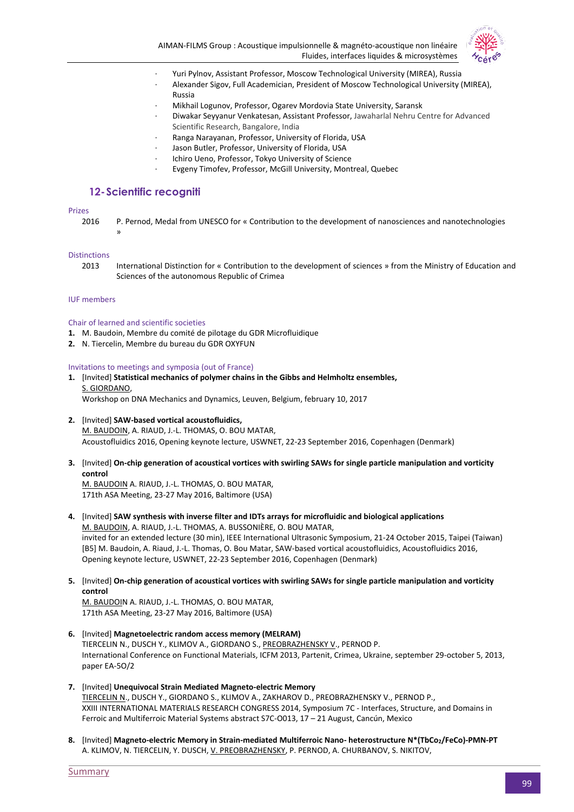



- · Yuri Pylnov, Assistant Professor, Moscow Technological University (MIREA), Russia
- · Alexander Sigov, Full Academician, President of Moscow Technological University (MIREA), Russia
- · Mikhail Logunov, Professor, Ogarev Mordovia State University, Saransk
- · Diwakar Seyyanur Venkatesan, Assistant Professor, Jawaharlal Nehru Centre for Advanced Scientific Research, Bangalore, India
- Ranga Narayanan, Professor, University of Florida, USA
- Jason Butler, Professor, University of Florida, USA
- Ichiro Ueno, Professor, Tokyo University of Science
- Evgeny Timofev, Professor, McGill University, Montreal, Quebec

# **12-Scientific recogniti**

#### Prizes

2016 P. Pernod, Medal from UNESCO for « Contribution to the development of nanosciences and nanotechnologies »

#### **Distinctions**

2013 International Distinction for « Contribution to the development of sciences » from the Ministry of Education and Sciences of the autonomous Republic of Crimea

#### IUF members

### Chair of learned and scientific societies

- **1.** M. Baudoin, Membre du comité de pilotage du GDR Microfluidique
- **2.** N. Tiercelin, Membre du bureau du GDR OXYFUN

Invitations to meetings and symposia (out of France)

- **1.** [Invited] **Statistical mechanics of polymer chains in the Gibbs and Helmholtz ensembles,** S. GIORDANO, Workshop on DNA Mechanics and Dynamics, Leuven, Belgium, february 10, 2017
- **2.** [Invited] **SAW-based vortical acoustofluidics,** M. BAUDOIN, A. RIAUD, J.-L. THOMAS, O. BOU MATAR, Acoustofluidics 2016, Opening keynote lecture, USWNET, 22-23 September 2016, Copenhagen (Denmark)
- **3.** [Invited] **On-chip generation of acoustical vortices with swirling SAWs for single particle manipulation and vorticity control**

M. BAUDOIN A. RIAUD, J.-L. THOMAS, O. BOU MATAR, 171th ASA Meeting, 23-27 May 2016, Baltimore (USA)

- **4.** [Invited] **SAW synthesis with inverse filter and IDTs arrays for microfluidic and biological applications** M. BAUDOIN, A. RIAUD, J.-L. THOMAS, A. BUSSONIÈRE, O. BOU MATAR, invited for an extended lecture (30 min), IEEE International Ultrasonic Symposium, 21-24 October 2015, Taipei (Taiwan) [B5] M. Baudoin, A. Riaud, J.-L. Thomas, O. Bou Matar, SAW-based vortical acoustofluidics, Acoustofluidics 2016, Opening keynote lecture, USWNET, 22-23 September 2016, Copenhagen (Denmark)
- **5.** [Invited] **On-chip generation of acoustical vortices with swirling SAWs for single particle manipulation and vorticity control**

M. BAUDOIN A. RIAUD, J.-L. THOMAS, O. BOU MATAR, 171th ASA Meeting, 23-27 May 2016, Baltimore (USA)

- **6.** [Invited] **Magnetoelectric random access memory (MELRAM)** TIERCELIN N., DUSCH Y., KLIMOV A., GIORDANO S., PREOBRAZHENSKY V., PERNOD P. International Conference on Functional Materials, ICFM 2013, Partenit, Crimea, Ukraine, september 29-october 5, 2013, paper EA-5O/2
- **7.** [Invited] **Unequivocal Strain Mediated Magneto-electric Memory** TIERCELIN N., DUSCH Y., GIORDANO S., KLIMOV A., ZAKHAROV D., PREOBRAZHENSKY V., PERNOD P., XXIII INTERNATIONAL MATERIALS RESEARCH CONGRESS 2014, Symposium 7C - Interfaces, Structure, and Domains in Ferroic and Multiferroic Material Systems abstract S7C-O013, 17 – 21 August, Cancún, Mexico
- **8.** [Invited] **Magneto-electric Memory in Strain-mediated Multiferroic Nano- heterostructure N\*(TbCo2/FeCo)-PMN-PT** A. KLIMOV, N. TIERCELIN, Y. DUSCH, V. PREOBRAZHENSKY, P. PERNOD, A. CHURBANOV, S. NIKITOV,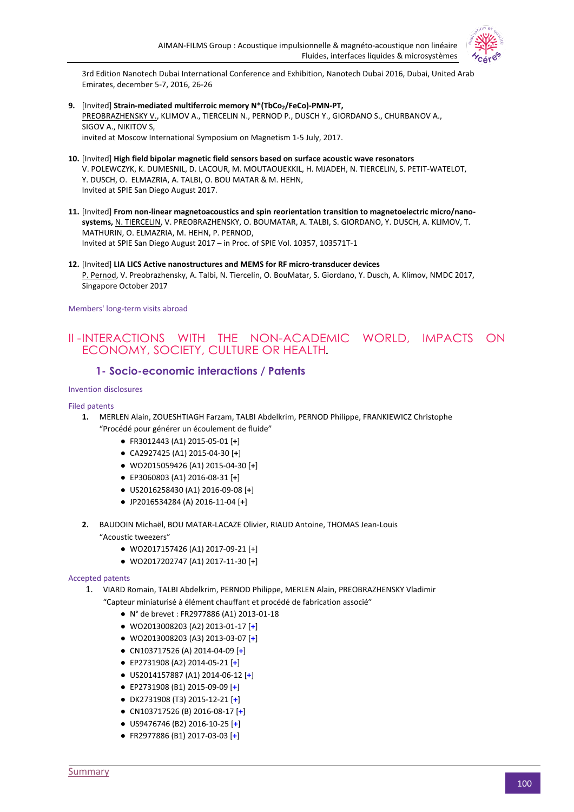

3rd Edition Nanotech Dubai International Conference and Exhibition, Nanotech Dubai 2016, Dubai, United Arab Emirates, december 5-7, 2016, 26-26

- **9.** [Invited] **Strain-mediated multiferroic memory N\*(TbCo2/FeCo)-PMN-PT,** PREOBRAZHENSKY V., KLIMOV A., TIERCELIN N., PERNOD P., DUSCH Y., GIORDANO S., CHURBANOV A., SIGOV A., NIKITOV S, invited at Moscow International Symposium on Magnetism 1-5 July, 2017.
- **10.** [Invited] **High field bipolar magnetic field sensors based on surface acoustic wave resonators** V. POLEWCZYK, K. DUMESNIL, D. LACOUR, M. MOUTAOUEKKIL, H. MJADEH, N. TIERCELIN, S. PETIT-WATELOT, Y. DUSCH, O. ELMAZRIA, A. TALBI, O. BOU MATAR & M. HEHN, Invited at SPIE San Diego August 2017.
- **11.** [Invited] **From non-linear magnetoacoustics and spin reorientation transition to magnetoelectric micro/nanosystems,** N. TIERCELIN, V. PREOBRAZHENSKY, O. BOUMATAR, A. TALBI, S. GIORDANO, Y. DUSCH, A. KLIMOV, T. MATHURIN, O. ELMAZRIA, M. HEHN, P. PERNOD, Invited at SPIE San Diego August 2017 – in Proc. of SPIE Vol. 10357, 103571T-1
- **12.** [Invited] **LIA LICS Active nanostructures and MEMS for RF micro-transducer devices** P. Pernod, V. Preobrazhensky, A. Talbi, N. Tiercelin, O. BouMatar, S. Giordano, Y. Dusch, A. Klimov, NMDC 2017, Singapore October 2017

Members' long-term visits abroad

# II -INTERACTIONS WITH THE NON-ACADEMIC WORLD, IMPACTS ON ECONOMY, SOCIETY, CULTURE OR HEALTH*.*

# **1- Socio-economic interactions / Patents**

Invention disclosures

### Filed patents

- **1.** MERLEN Alain, ZOUESHTIAGH Farzam, TALBI Abdelkrim, PERNOD Philippe, FRANKIEWICZ Christophe "Procédé pour générer un écoulement de fluide"
	- FR3012443 (A1) 2015-05-01 [**+**]
	- CA2927425 (A1) 2015-04-30 [**+**]
	- WO2015059426 (A1) 2015-04-30 [**+**]
	- EP3060803 (A1) 2016-08-31 [**+**]
	- US2016258430 (A1) 2016-09-08 [**+**]
	- JP2016534284 (A) 2016-11-04 [**+**]
- **2.** BAUDOIN Michaël, BOU MATAR-LACAZE Olivier, RIAUD Antoine, THOMAS Jean-Louis "Acoustic tweezers"
	- WO2017157426 (A1) 2017-09-21 [+]
	- WO2017202747 (A1) 2017-11-30 [+]

#### Accepted patents

- 1. VIARD Romain, TALBI Abdelkrim, PERNOD Philippe, MERLEN Alain, PREOBRAZHENSKY Vladimir
	- "Capteur miniaturisé à élément chauffant et procédé de fabrication associé"
		- N° de brevet : FR2977886 (A1) 2013-01-18
		- WO2013008203 (A2) 2013-01-17 [**+**]
		- WO2013008203 (A3) 2013-03-07 [**+**]
		- CN103717526 (A) 2014-04-09 [**+**]
		- EP2731908 (A2) 2014-05-21 [**+**]
		- US2014157887 (A1) 2014-06-12 [**+**]
		- EP2731908 (B1) 2015-09-09 [**+**]
		- DK2731908 (T3) 2015-12-21 [**+**]
		- CN103717526 (B) 2016-08-17 [**+**]
		- US9476746 (B2) 2016-10-25 [**+**]
		- FR2977886 (B1) 2017-03-03 [**+**]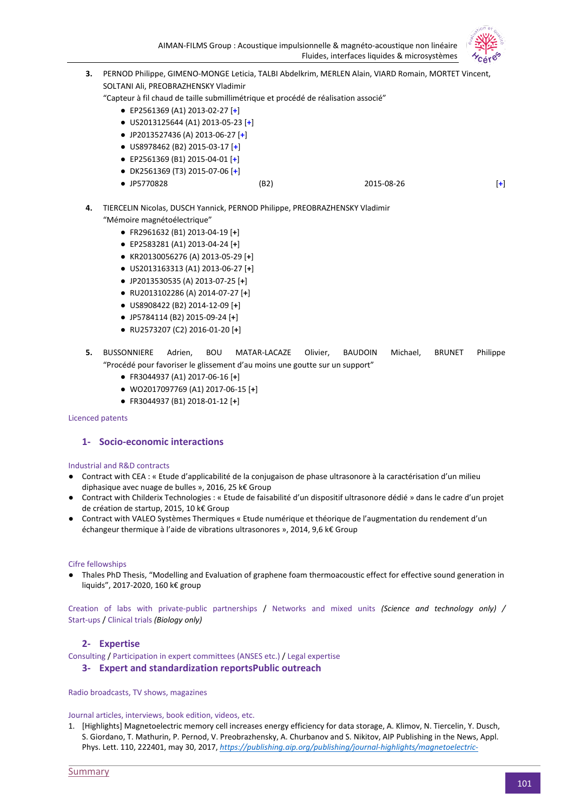

- **3.** PERNOD Philippe, GIMENO-MONGE Leticia, TALBI Abdelkrim, MERLEN Alain, VIARD Romain, MORTET Vincent, SOLTANI Ali, PREOBRAZHENSKY Vladimir "Capteur à fil chaud de taille submillimétrique et procédé de réalisation associé" ● EP2561369 (A1) 2013-02-27 [**+**] ● US2013125644 (A1) 2013-05-23 [**+**] ● JP2013527436 (A) 2013-06-27 [**+**] ● US8978462 (B2) 2015-03-17 [**+**]
	- EP2561369 (B1) 2015-04-01 [**+**]
	- DK2561369 (T3) 2015-07-06 [**+**]
	- JP5770828 (B2) 2015-08-26 [**+**]
- **4.** TIERCELIN Nicolas, DUSCH Yannick, PERNOD Philippe, PREOBRAZHENSKY Vladimir "Mémoire magnétoélectrique"
	- FR2961632 (B1) 2013-04-19 [**+**]
	- EP2583281 (A1) 2013-04-24 [**+**]
	- KR20130056276 (A) 2013-05-29 [**+**]
	- US2013163313 (A1) 2013-06-27 [**+**]
	- JP2013530535 (A) 2013-07-25 [**+**]
	- RU2013102286 (A) 2014-07-27 [**+**]
	- US8908422 (B2) 2014-12-09 [**+**]
	- JP5784114 (B2) 2015-09-24 [**+**]
	- RU2573207 (C2) 2016-01-20 [**+**]

# **5.** BUSSONNIERE Adrien, BOU MATAR-LACAZE Olivier, BAUDOIN Michael, BRUNET Philippe "Procédé pour favoriser le glissement d'au moins une goutte sur un support"

- FR3044937 (A1) 2017-06-16 [**+**]
- WO2017097769 (A1) 2017-06-15 [**+**]
- FR3044937 (B1) 2018-01-12 [**+**]

#### Licenced patents

## **1- Socio-economic interactions**

#### Industrial and R&D contracts

- Contract with CEA : « Etude d'applicabilité de la conjugaison de phase ultrasonore à la caractérisation d'un milieu diphasique avec nuage de bulles », 2016, 25 k€ Group
- Contract with Childerix Technologies : « Etude de faisabilité d'un dispositif ultrasonore dédié » dans le cadre d'un projet de création de startup, 2015, 10 k€ Group
- Contract with VALEO Systèmes Thermiques « Etude numérique et théorique de l'augmentation du rendement d'un échangeur thermique à l'aide de vibrations ultrasonores », 2014, 9,6 k€ Group

#### Cifre fellowships

● Thales PhD Thesis, "Modelling and Evaluation of graphene foam thermoacoustic effect for effective sound generation in liquids", 2017-2020, 160 k€ group

Creation of labs with private-public partnerships / Networks and mixed units *(Science and technology only) /*  Start-ups / Clinical trials *(Biology only)*

# **2- Expertise**

Consulting / Participation in expert committees (ANSES etc.) / Legal expertise

# **3- Expert and standardization reportsPublic outreach**

Radio broadcasts, TV shows, magazines

#### Journal articles, interviews, book edition, videos, etc.

1. [Highlights] Magnetoelectric memory cell increases energy efficiency for data storage, A. Klimov, N. Tiercelin, Y. Dusch, S. Giordano, T. Mathurin, P. Pernod, V. Preobrazhensky, A. Churbanov and S. Nikitov, AIP Publishing in the News, Appl. Phys. Lett. 110, 222401, may 30, 2017, *[https://publishing.aip.org/publishing/journal-highlights/magnetoelectric-](https://publishing.aip.org/publishing/journal-highlights/magnetoelectric-memory-cell-increases-energy-efficiency-data-storage)*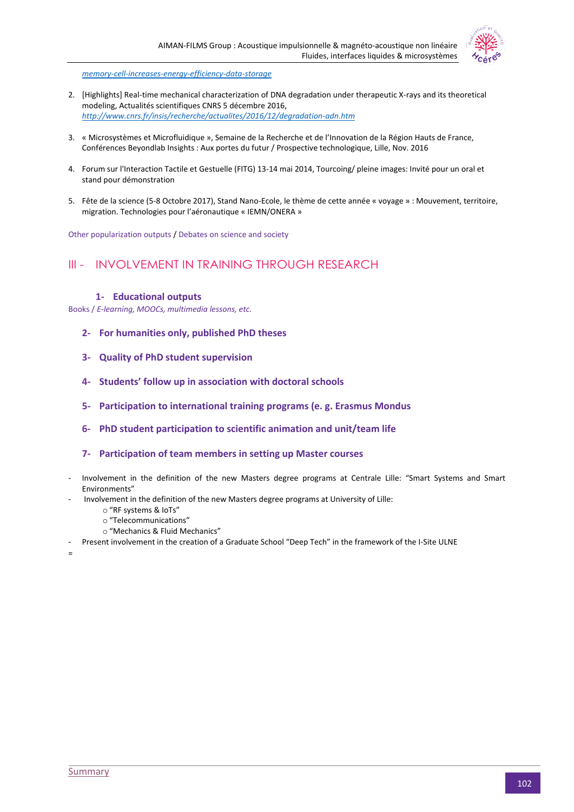

*[memory-cell-increases-energy-efficiency-data-storage](https://publishing.aip.org/publishing/journal-highlights/magnetoelectric-memory-cell-increases-energy-efficiency-data-storage)*

- 2. [Highlights] Real-time mechanical characterization of DNA degradation under therapeutic X-rays and its theoretical modeling, Actualités scientifiques CNRS 5 décembre 2016, *<http://www.cnrs.fr/insis/recherche/actualites/2016/12/degradation-adn.htm>*
- 3. « Microsystèmes et Microfluidique », Semaine de la Recherche et de l'Innovation de la Région Hauts de France, Conférences Beyondlab Insights : Aux portes du futur / Prospective technologique, Lille, Nov. 2016
- 4. Forum sur l'Interaction Tactile et Gestuelle (FITG) 13-14 mai 2014, Tourcoing/ pleine images: Invité pour un oral et stand pour démonstration
- 5. Fête de la science (5-8 Octobre 2017), Stand Nano-Ecole, le thème de cette année « voyage » : Mouvement, territoire, migration. Technologies pour l'aéronautique « IEMN/ONERA »

Other popularization outputs / Debates on science and society

# III - INVOLVEMENT IN TRAINING THROUGH RESEARCH

### **1- Educational outputs**

Books / *E-learning, MOOCs, multimedia lessons, etc.*

- **2- For humanities only, published PhD theses**
- **3- Quality of PhD student supervision**
- **4- Students' follow up in association with doctoral schools**
- **5- Participation to international training programs (e. g. Erasmus Mondus**
- **6- PhD student participation to scientific animation and unit/team life**
- **7- Participation of team members in setting up Master courses**
- Involvement in the definition of the new Masters degree programs at Centrale Lille: "Smart Systems and Smart Environments"
- Involvement in the definition of the new Masters degree programs at University of Lille:
	- o "RF systems & IoTs"
	- o "Telecommunications"
	- o "Mechanics & Fluid Mechanics"
- Present involvement in the creation of a Graduate School "Deep Tech" in the framework of the I-Site ULNE

=